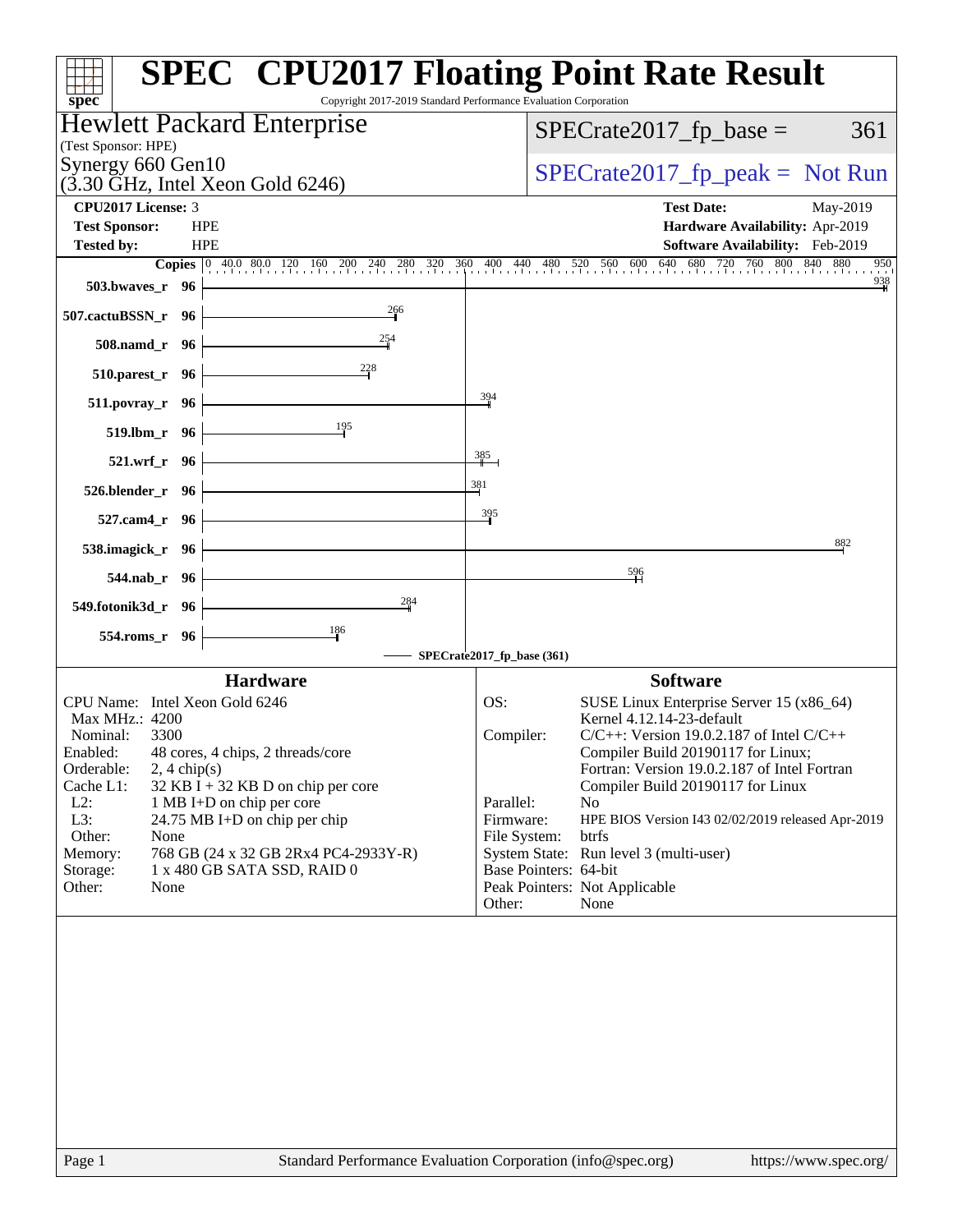| <b>SPEC<sup>®</sup> CPU2017 Floating Point Rate Result</b><br>Copyright 2017-2019 Standard Performance Evaluation Corporation<br>$spec^*$                                                                                                                                                                                                                                                                                                           |                                                                                                                                                                                                                                                                                                                                                                                                                                                                                                                                          |
|-----------------------------------------------------------------------------------------------------------------------------------------------------------------------------------------------------------------------------------------------------------------------------------------------------------------------------------------------------------------------------------------------------------------------------------------------------|------------------------------------------------------------------------------------------------------------------------------------------------------------------------------------------------------------------------------------------------------------------------------------------------------------------------------------------------------------------------------------------------------------------------------------------------------------------------------------------------------------------------------------------|
| Hewlett Packard Enterprise                                                                                                                                                                                                                                                                                                                                                                                                                          | $SPECrate2017_fp\_base =$<br>361                                                                                                                                                                                                                                                                                                                                                                                                                                                                                                         |
| (Test Sponsor: HPE)                                                                                                                                                                                                                                                                                                                                                                                                                                 |                                                                                                                                                                                                                                                                                                                                                                                                                                                                                                                                          |
| Synergy 660 Gen10<br>$(3.30 \text{ GHz}, \text{Intel Xeon Gold } 6246)$                                                                                                                                                                                                                                                                                                                                                                             | $SPECrate2017_fp\_peak = Not Run$                                                                                                                                                                                                                                                                                                                                                                                                                                                                                                        |
| <b>CPU2017 License: 3</b>                                                                                                                                                                                                                                                                                                                                                                                                                           | <b>Test Date:</b><br>May-2019                                                                                                                                                                                                                                                                                                                                                                                                                                                                                                            |
| <b>Test Sponsor:</b><br><b>HPE</b>                                                                                                                                                                                                                                                                                                                                                                                                                  | Hardware Availability: Apr-2019                                                                                                                                                                                                                                                                                                                                                                                                                                                                                                          |
| <b>Tested by:</b><br><b>HPE</b>                                                                                                                                                                                                                                                                                                                                                                                                                     | Software Availability: Feb-2019<br>950                                                                                                                                                                                                                                                                                                                                                                                                                                                                                                   |
| 503.bwaves_r 96                                                                                                                                                                                                                                                                                                                                                                                                                                     | <b>Copies</b> 0 40.0 80.0 120 160 200 240 280 320 360 400 440 480 520 560 600 640 680 720 760 800 840 880<br>$\frac{938}{4}$                                                                                                                                                                                                                                                                                                                                                                                                             |
| $\frac{266}{9}$<br>507.cactuBSSN_r 96                                                                                                                                                                                                                                                                                                                                                                                                               |                                                                                                                                                                                                                                                                                                                                                                                                                                                                                                                                          |
| $\frac{254}{9}$<br>508.namd_r 96                                                                                                                                                                                                                                                                                                                                                                                                                    |                                                                                                                                                                                                                                                                                                                                                                                                                                                                                                                                          |
| $\frac{228}{1}$<br>$510.parest_r$ 96                                                                                                                                                                                                                                                                                                                                                                                                                |                                                                                                                                                                                                                                                                                                                                                                                                                                                                                                                                          |
| $511.povray_r$ 96                                                                                                                                                                                                                                                                                                                                                                                                                                   | 394                                                                                                                                                                                                                                                                                                                                                                                                                                                                                                                                      |
| $\frac{195}{1}$<br>519.lbm_r 96                                                                                                                                                                                                                                                                                                                                                                                                                     |                                                                                                                                                                                                                                                                                                                                                                                                                                                                                                                                          |
| 385<br>521.wrf_r 96                                                                                                                                                                                                                                                                                                                                                                                                                                 |                                                                                                                                                                                                                                                                                                                                                                                                                                                                                                                                          |
| 381<br>$526. \text{blender}_r$ 96                                                                                                                                                                                                                                                                                                                                                                                                                   |                                                                                                                                                                                                                                                                                                                                                                                                                                                                                                                                          |
| $527$ .cam4_r 96 $\vert$                                                                                                                                                                                                                                                                                                                                                                                                                            | 395                                                                                                                                                                                                                                                                                                                                                                                                                                                                                                                                      |
| 538.imagick_r $96$                                                                                                                                                                                                                                                                                                                                                                                                                                  | 882                                                                                                                                                                                                                                                                                                                                                                                                                                                                                                                                      |
| 544.nab_r 96                                                                                                                                                                                                                                                                                                                                                                                                                                        | $\frac{596}{4}$                                                                                                                                                                                                                                                                                                                                                                                                                                                                                                                          |
| 284<br>549.fotonik3d_r 96                                                                                                                                                                                                                                                                                                                                                                                                                           |                                                                                                                                                                                                                                                                                                                                                                                                                                                                                                                                          |
| 186<br>554.roms_r 96                                                                                                                                                                                                                                                                                                                                                                                                                                | SPECrate2017_fp_base (361)                                                                                                                                                                                                                                                                                                                                                                                                                                                                                                               |
|                                                                                                                                                                                                                                                                                                                                                                                                                                                     |                                                                                                                                                                                                                                                                                                                                                                                                                                                                                                                                          |
| <b>Hardware</b><br>CPU Name: Intel Xeon Gold 6246<br>Max MHz.: 4200<br>Nominal:<br>3300<br>Enabled: 48 cores, 4 chips, 2 threads/core<br>Orderable:<br>$2, 4 \text{ chip}(s)$<br>Cache L1:<br>$32$ KB I + 32 KB D on chip per core<br>$L2$ :<br>1 MB I+D on chip per core<br>L3:<br>24.75 MB I+D on chip per chip<br>Other:<br>None<br>Memory:<br>768 GB (24 x 32 GB 2Rx4 PC4-2933Y-R)<br>1 x 480 GB SATA SSD, RAID 0<br>Storage:<br>Other:<br>None | <b>Software</b><br>OS:<br>SUSE Linux Enterprise Server 15 (x86_64)<br>Kernel 4.12.14-23-default<br>$C/C++$ : Version 19.0.2.187 of Intel $C/C++$<br>Compiler:<br>Compiler Build 20190117 for Linux;<br>Fortran: Version 19.0.2.187 of Intel Fortran<br>Compiler Build 20190117 for Linux<br>Parallel:<br>N <sub>0</sub><br>Firmware:<br>HPE BIOS Version I43 02/02/2019 released Apr-2019<br>btrfs<br>File System:<br>System State: Run level 3 (multi-user)<br>Base Pointers: 64-bit<br>Peak Pointers: Not Applicable<br>Other:<br>None |
|                                                                                                                                                                                                                                                                                                                                                                                                                                                     |                                                                                                                                                                                                                                                                                                                                                                                                                                                                                                                                          |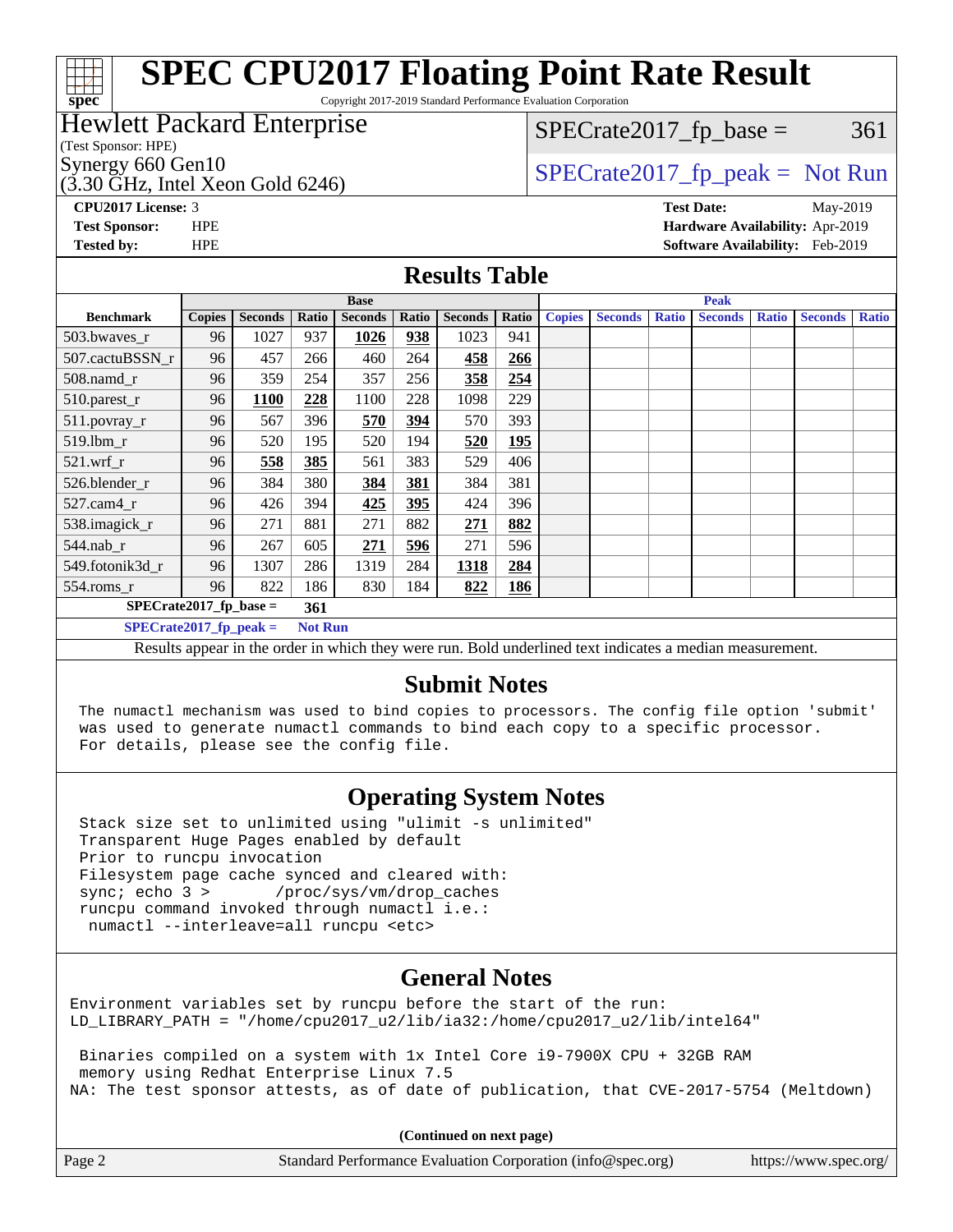#### **[SPEC CPU2017 Floating Point Rate Result](http://www.spec.org/auto/cpu2017/Docs/result-fields.html#SPECCPU2017FloatingPointRateResult) [spec](http://www.spec.org/)** Copyright 2017-2019 Standard Performance Evaluation Corporation Hewlett Packard Enterprise  $SPECTate2017<sub>fr</sub> base = 361$ (Test Sponsor: HPE) Synergy 660 Gen10<br>  $SPECrate2017_fp\_peak = Not Run$  $(3.30 \text{ GHz}, \text{Intel Xeon}$  Gold 6246) **[CPU2017 License:](http://www.spec.org/auto/cpu2017/Docs/result-fields.html#CPU2017License)** 3 **[Test Date:](http://www.spec.org/auto/cpu2017/Docs/result-fields.html#TestDate)** May-2019 **[Test Sponsor:](http://www.spec.org/auto/cpu2017/Docs/result-fields.html#TestSponsor)** HPE **[Hardware Availability:](http://www.spec.org/auto/cpu2017/Docs/result-fields.html#HardwareAvailability)** Apr-2019 **[Tested by:](http://www.spec.org/auto/cpu2017/Docs/result-fields.html#Testedby)** HPE **[Software Availability:](http://www.spec.org/auto/cpu2017/Docs/result-fields.html#SoftwareAvailability)** Feb-2019 **[Results Table](http://www.spec.org/auto/cpu2017/Docs/result-fields.html#ResultsTable) Base Peak [Benchmark](http://www.spec.org/auto/cpu2017/Docs/result-fields.html#Benchmark) [Copies](http://www.spec.org/auto/cpu2017/Docs/result-fields.html#Copies) [Seconds](http://www.spec.org/auto/cpu2017/Docs/result-fields.html#Seconds) [Ratio](http://www.spec.org/auto/cpu2017/Docs/result-fields.html#Ratio) [Seconds](http://www.spec.org/auto/cpu2017/Docs/result-fields.html#Seconds) [Ratio](http://www.spec.org/auto/cpu2017/Docs/result-fields.html#Ratio) [Seconds](http://www.spec.org/auto/cpu2017/Docs/result-fields.html#Seconds) [Ratio](http://www.spec.org/auto/cpu2017/Docs/result-fields.html#Ratio) [Copies](http://www.spec.org/auto/cpu2017/Docs/result-fields.html#Copies) [Seconds](http://www.spec.org/auto/cpu2017/Docs/result-fields.html#Seconds) [Ratio](http://www.spec.org/auto/cpu2017/Docs/result-fields.html#Ratio) [Seconds](http://www.spec.org/auto/cpu2017/Docs/result-fields.html#Seconds) [Ratio](http://www.spec.org/auto/cpu2017/Docs/result-fields.html#Ratio) [Seconds](http://www.spec.org/auto/cpu2017/Docs/result-fields.html#Seconds) [Ratio](http://www.spec.org/auto/cpu2017/Docs/result-fields.html#Ratio)** [503.bwaves\\_r](http://www.spec.org/auto/cpu2017/Docs/benchmarks/503.bwaves_r.html) 96 1027 937 **[1026](http://www.spec.org/auto/cpu2017/Docs/result-fields.html#Median) [938](http://www.spec.org/auto/cpu2017/Docs/result-fields.html#Median)** 1023 941 [507.cactuBSSN\\_r](http://www.spec.org/auto/cpu2017/Docs/benchmarks/507.cactuBSSN_r.html) 96 457 266 460 264 **[458](http://www.spec.org/auto/cpu2017/Docs/result-fields.html#Median) [266](http://www.spec.org/auto/cpu2017/Docs/result-fields.html#Median)** [508.namd\\_r](http://www.spec.org/auto/cpu2017/Docs/benchmarks/508.namd_r.html) 96 359 254 357 256 **[358](http://www.spec.org/auto/cpu2017/Docs/result-fields.html#Median) [254](http://www.spec.org/auto/cpu2017/Docs/result-fields.html#Median)** [510.parest\\_r](http://www.spec.org/auto/cpu2017/Docs/benchmarks/510.parest_r.html) 96 **[1100](http://www.spec.org/auto/cpu2017/Docs/result-fields.html#Median) [228](http://www.spec.org/auto/cpu2017/Docs/result-fields.html#Median)** 1100 228 1098 229 [511.povray\\_r](http://www.spec.org/auto/cpu2017/Docs/benchmarks/511.povray_r.html) 96 567 396 **[570](http://www.spec.org/auto/cpu2017/Docs/result-fields.html#Median) [394](http://www.spec.org/auto/cpu2017/Docs/result-fields.html#Median)** 570 393 [519.lbm\\_r](http://www.spec.org/auto/cpu2017/Docs/benchmarks/519.lbm_r.html) 96 520 195 520 194 **[520](http://www.spec.org/auto/cpu2017/Docs/result-fields.html#Median) [195](http://www.spec.org/auto/cpu2017/Docs/result-fields.html#Median)** [521.wrf\\_r](http://www.spec.org/auto/cpu2017/Docs/benchmarks/521.wrf_r.html) 96 **[558](http://www.spec.org/auto/cpu2017/Docs/result-fields.html#Median) [385](http://www.spec.org/auto/cpu2017/Docs/result-fields.html#Median)** 561 383 529 406 [526.blender\\_r](http://www.spec.org/auto/cpu2017/Docs/benchmarks/526.blender_r.html) 96 384 380 **[384](http://www.spec.org/auto/cpu2017/Docs/result-fields.html#Median) [381](http://www.spec.org/auto/cpu2017/Docs/result-fields.html#Median)** 384 381

**(Continued on next page)**

| <b>JULCACIUDDDIN I</b>                                                                                                                                                                                          | 7V. | 411         | ∠∪∪            | 400  | ∠∪4 | 450                                                                                                      | 400 |  |  |  |  |
|-----------------------------------------------------------------------------------------------------------------------------------------------------------------------------------------------------------------|-----|-------------|----------------|------|-----|----------------------------------------------------------------------------------------------------------|-----|--|--|--|--|
| $508$ .namd $r$                                                                                                                                                                                                 | 96  | 359         | 254            | 357  | 256 | 358                                                                                                      | 254 |  |  |  |  |
| 510.parest_r                                                                                                                                                                                                    | 96  | <b>1100</b> | 228            | 1100 | 228 | 1098                                                                                                     | 229 |  |  |  |  |
| $511.povray_r$                                                                                                                                                                                                  | 96  | 567         | 396            | 570  | 394 | 570                                                                                                      | 393 |  |  |  |  |
| $519.$ lbm_r                                                                                                                                                                                                    | 96  | 520         | 195            | 520  | 194 | 520                                                                                                      | 195 |  |  |  |  |
| $521$ .wrf r                                                                                                                                                                                                    | 96  | 558         | 385            | 561  | 383 | 529                                                                                                      | 406 |  |  |  |  |
| 526.blender r                                                                                                                                                                                                   | 96  | 384         | 380            | 384  | 381 | 384                                                                                                      | 381 |  |  |  |  |
| $527.cam4_r$                                                                                                                                                                                                    | 96  | 426         | 394            | 425  | 395 | 424                                                                                                      | 396 |  |  |  |  |
| 538.imagick_r                                                                                                                                                                                                   | 96  | 271         | 881            | 271  | 882 | 271                                                                                                      | 882 |  |  |  |  |
| $544$ .nab_r                                                                                                                                                                                                    | 96  | 267         | 605            | 271  | 596 | 271                                                                                                      | 596 |  |  |  |  |
| 549.fotonik3d r                                                                                                                                                                                                 | 96  | 1307        | 286            | 1319 | 284 | 1318                                                                                                     | 284 |  |  |  |  |
| $554$ .roms $_r$                                                                                                                                                                                                | 96  | 822         | 186            | 830  | 184 | 822                                                                                                      | 186 |  |  |  |  |
| $SPECrate2017$ fp base =                                                                                                                                                                                        |     |             | 361            |      |     |                                                                                                          |     |  |  |  |  |
| $SPECrate2017fr peak =$                                                                                                                                                                                         |     |             | <b>Not Run</b> |      |     |                                                                                                          |     |  |  |  |  |
|                                                                                                                                                                                                                 |     |             |                |      |     | Results appear in the order in which they were run. Bold underlined text indicates a median measurement. |     |  |  |  |  |
| <b>Submit Notes</b><br>$-$ .<br>$-1$<br>the contract of the contract of the contract of the contract of the contract of the contract of the contract of<br>$\mathbf{a}$ , and $\mathbf{a}$<br>$-1$<br>.<br>$-1$ |     |             |                |      |     |                                                                                                          |     |  |  |  |  |
|                                                                                                                                                                                                                 |     |             |                |      |     |                                                                                                          |     |  |  |  |  |

 The numactl mechanism was used to bind copies to processors. The config file option 'submit' was used to generate numactl commands to bind each copy to a specific processor. For details, please see the config file.

### **[Operating System Notes](http://www.spec.org/auto/cpu2017/Docs/result-fields.html#OperatingSystemNotes)**

 Stack size set to unlimited using "ulimit -s unlimited" Transparent Huge Pages enabled by default Prior to runcpu invocation Filesystem page cache synced and cleared with: sync; echo 3 > /proc/sys/vm/drop caches runcpu command invoked through numactl i.e.: numactl --interleave=all runcpu <etc>

### **[General Notes](http://www.spec.org/auto/cpu2017/Docs/result-fields.html#GeneralNotes)**

Environment variables set by runcpu before the start of the run: LD LIBRARY PATH = "/home/cpu2017 u2/lib/ia32:/home/cpu2017 u2/lib/intel64"

 Binaries compiled on a system with 1x Intel Core i9-7900X CPU + 32GB RAM memory using Redhat Enterprise Linux 7.5 NA: The test sponsor attests, as of date of publication, that CVE-2017-5754 (Meltdown)

Page 2 Standard Performance Evaluation Corporation [\(info@spec.org\)](mailto:info@spec.org) <https://www.spec.org/>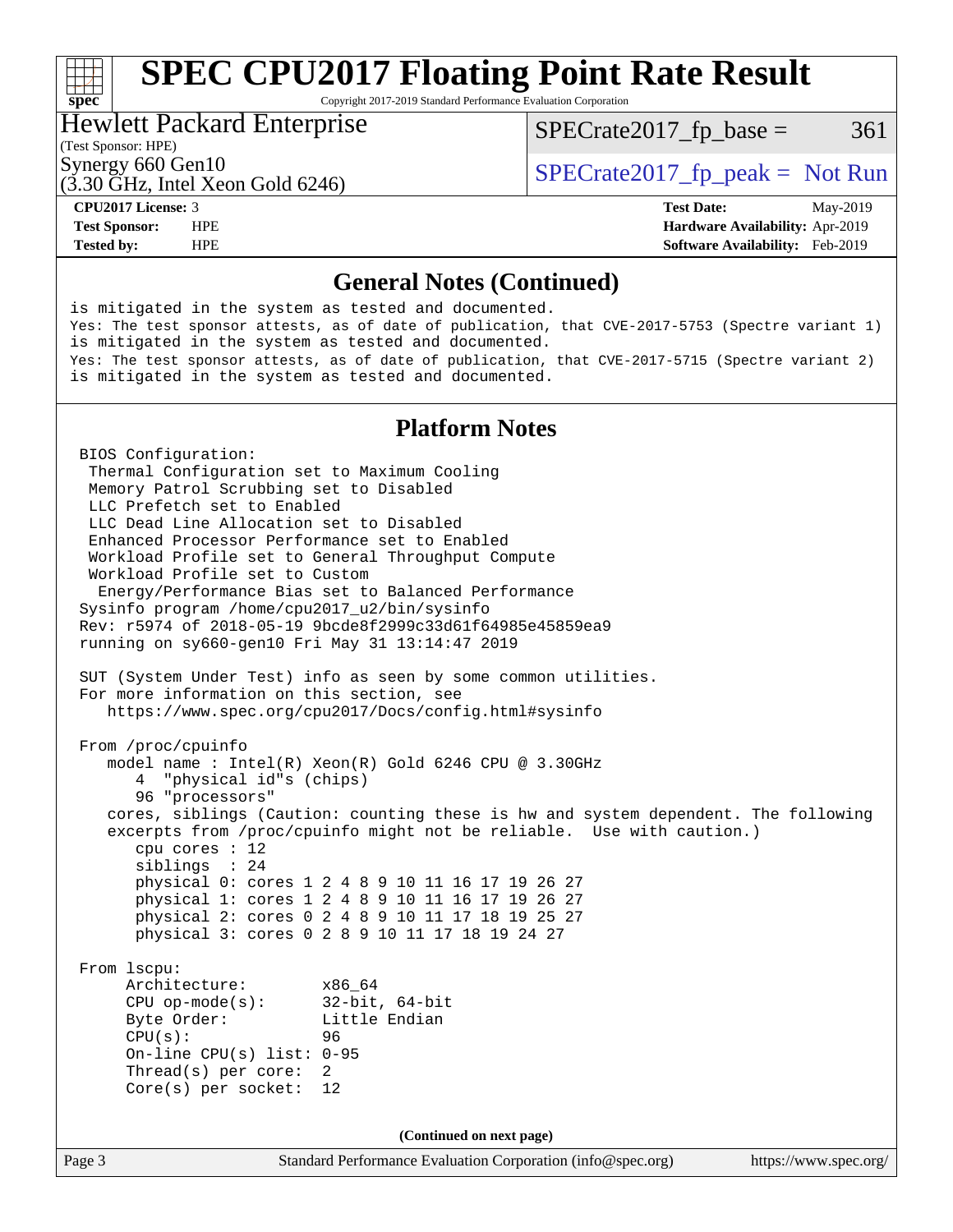# **[SPEC CPU2017 Floating Point Rate Result](http://www.spec.org/auto/cpu2017/Docs/result-fields.html#SPECCPU2017FloatingPointRateResult)**

Copyright 2017-2019 Standard Performance Evaluation Corporation

#### Hewlett Packard Enterprise

 $SPECTate2017<sub>fr</sub> base = 361$ 

### (Test Sponsor: HPE)

(3.30 GHz, Intel Xeon Gold 6246)

Synergy 660 Gen10<br>  $SPECrate2017$  fp\_peak = Not Run

**[spec](http://www.spec.org/)**

**[Tested by:](http://www.spec.org/auto/cpu2017/Docs/result-fields.html#Testedby)** HPE **[Software Availability:](http://www.spec.org/auto/cpu2017/Docs/result-fields.html#SoftwareAvailability)** Feb-2019

**[CPU2017 License:](http://www.spec.org/auto/cpu2017/Docs/result-fields.html#CPU2017License)** 3 **[Test Date:](http://www.spec.org/auto/cpu2017/Docs/result-fields.html#TestDate)** May-2019 **[Test Sponsor:](http://www.spec.org/auto/cpu2017/Docs/result-fields.html#TestSponsor)** HPE **[Hardware Availability:](http://www.spec.org/auto/cpu2017/Docs/result-fields.html#HardwareAvailability)** Apr-2019

#### **[General Notes \(Continued\)](http://www.spec.org/auto/cpu2017/Docs/result-fields.html#GeneralNotes)**

Page 3 Standard Performance Evaluation Corporation [\(info@spec.org\)](mailto:info@spec.org) <https://www.spec.org/> is mitigated in the system as tested and documented. Yes: The test sponsor attests, as of date of publication, that CVE-2017-5753 (Spectre variant 1) is mitigated in the system as tested and documented. Yes: The test sponsor attests, as of date of publication, that CVE-2017-5715 (Spectre variant 2) is mitigated in the system as tested and documented. **[Platform Notes](http://www.spec.org/auto/cpu2017/Docs/result-fields.html#PlatformNotes)** BIOS Configuration: Thermal Configuration set to Maximum Cooling Memory Patrol Scrubbing set to Disabled LLC Prefetch set to Enabled LLC Dead Line Allocation set to Disabled Enhanced Processor Performance set to Enabled Workload Profile set to General Throughput Compute Workload Profile set to Custom Energy/Performance Bias set to Balanced Performance Sysinfo program /home/cpu2017\_u2/bin/sysinfo Rev: r5974 of 2018-05-19 9bcde8f2999c33d61f64985e45859ea9 running on sy660-gen10 Fri May 31 13:14:47 2019 SUT (System Under Test) info as seen by some common utilities. For more information on this section, see <https://www.spec.org/cpu2017/Docs/config.html#sysinfo> From /proc/cpuinfo model name : Intel(R) Xeon(R) Gold 6246 CPU @ 3.30GHz 4 "physical id"s (chips) 96 "processors" cores, siblings (Caution: counting these is hw and system dependent. The following excerpts from /proc/cpuinfo might not be reliable. Use with caution.) cpu cores : 12 siblings : 24 physical 0: cores 1 2 4 8 9 10 11 16 17 19 26 27 physical 1: cores 1 2 4 8 9 10 11 16 17 19 26 27 physical 2: cores 0 2 4 8 9 10 11 17 18 19 25 27 physical 3: cores 0 2 8 9 10 11 17 18 19 24 27 From lscpu: Architecture: x86\_64 CPU op-mode(s): 32-bit, 64-bit Byte Order: Little Endian  $CPU(s):$  96 On-line CPU(s) list: 0-95 Thread(s) per core: 2 Core(s) per socket: 12 **(Continued on next page)**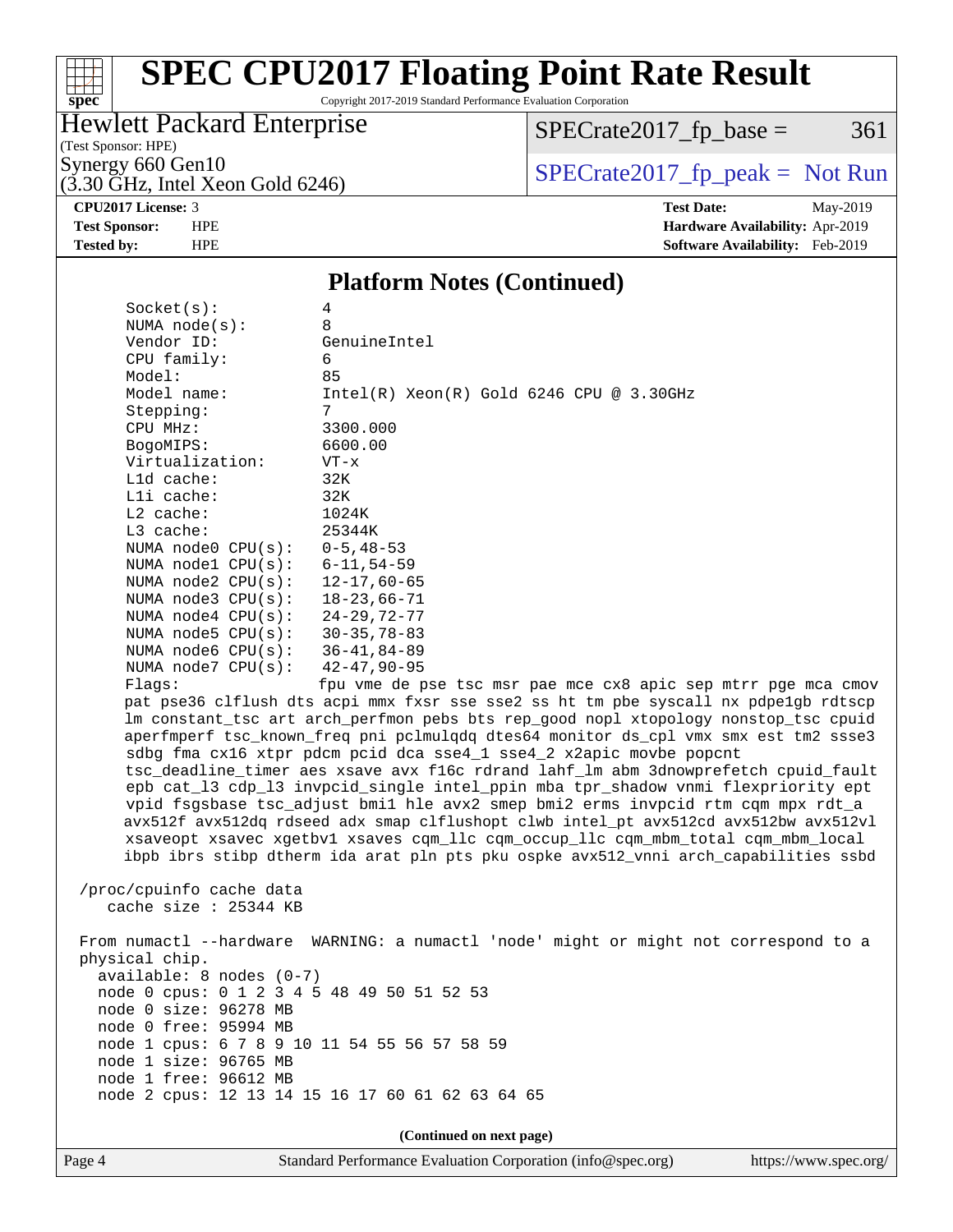# **[spec](http://www.spec.org/)**

# **[SPEC CPU2017 Floating Point Rate Result](http://www.spec.org/auto/cpu2017/Docs/result-fields.html#SPECCPU2017FloatingPointRateResult)**

Copyright 2017-2019 Standard Performance Evaluation Corporation

### Hewlett Packard Enterprise

 $SPECTate2017_fp\_base = 361$ 

(Test Sponsor: HPE)

 $(3.30 \text{ GHz}, \text{Intel Xeon Gold } 6246)$ 

Synergy 660 Gen10<br>  $\begin{array}{r} \text{SPECTate2017\_fp\_peak = Not Run} \\ \text{SPECTate2017\_fp\_peak = Not Run} \end{array}$ 

**[CPU2017 License:](http://www.spec.org/auto/cpu2017/Docs/result-fields.html#CPU2017License)** 3 **[Test Date:](http://www.spec.org/auto/cpu2017/Docs/result-fields.html#TestDate)** May-2019 **[Test Sponsor:](http://www.spec.org/auto/cpu2017/Docs/result-fields.html#TestSponsor)** HPE **[Hardware Availability:](http://www.spec.org/auto/cpu2017/Docs/result-fields.html#HardwareAvailability)** Apr-2019 **[Tested by:](http://www.spec.org/auto/cpu2017/Docs/result-fields.html#Testedby)** HPE **[Software Availability:](http://www.spec.org/auto/cpu2017/Docs/result-fields.html#SoftwareAvailability)** Feb-2019

#### **[Platform Notes \(Continued\)](http://www.spec.org/auto/cpu2017/Docs/result-fields.html#PlatformNotes)**

| Socket(s):                                   | 4                                                                                                                                                                        |
|----------------------------------------------|--------------------------------------------------------------------------------------------------------------------------------------------------------------------------|
| NUMA $node(s):$                              | 8                                                                                                                                                                        |
| Vendor ID:                                   | GenuineIntel                                                                                                                                                             |
| CPU family:                                  | 6                                                                                                                                                                        |
| Model:                                       | 85                                                                                                                                                                       |
| Model name:                                  | $Intel(R)$ Xeon $(R)$ Gold 6246 CPU @ 3.30GHz                                                                                                                            |
| Stepping:                                    | 7                                                                                                                                                                        |
| CPU MHz:                                     | 3300.000                                                                                                                                                                 |
| BogoMIPS:                                    | 6600.00                                                                                                                                                                  |
| Virtualization:<br>L1d cache:                | $VT - x$                                                                                                                                                                 |
|                                              | 32K                                                                                                                                                                      |
| Lli cache:<br>$L2$ cache:                    | 32K<br>1024K                                                                                                                                                             |
| L3 cache:                                    | 25344K                                                                                                                                                                   |
| NUMA $node0$ $CPU(s):$                       | $0 - 5, 48 - 53$                                                                                                                                                         |
| NUMA nodel CPU(s):                           | $6 - 11, 54 - 59$                                                                                                                                                        |
| NUMA $node2$ $CPU(s):$                       | $12 - 17,60 - 65$                                                                                                                                                        |
| NUMA $node3$ $CPU(s):$                       | $18 - 23,66 - 71$                                                                                                                                                        |
| NUMA $node4$ $CPU(s):$                       | $24 - 29, 72 - 77$                                                                                                                                                       |
| NUMA $node5$ $CPU(s):$                       | $30 - 35, 78 - 83$                                                                                                                                                       |
| NUMA node6 CPU(s):                           | 36-41,84-89                                                                                                                                                              |
| NUMA $node7$ CPU $(s)$ :                     | $42 - 47, 90 - 95$                                                                                                                                                       |
| Flaqs:                                       | fpu vme de pse tsc msr pae mce cx8 apic sep mtrr pge mca cmov                                                                                                            |
|                                              | pat pse36 clflush dts acpi mmx fxsr sse sse2 ss ht tm pbe syscall nx pdpelgb rdtscp                                                                                      |
|                                              | lm constant_tsc art arch_perfmon pebs bts rep_good nopl xtopology nonstop_tsc cpuid                                                                                      |
|                                              | aperfmperf tsc_known_freq pni pclmulqdq dtes64 monitor ds_cpl vmx smx est tm2 ssse3                                                                                      |
|                                              | sdbg fma cx16 xtpr pdcm pcid dca sse4_1 sse4_2 x2apic movbe popcnt                                                                                                       |
|                                              | tsc_deadline_timer aes xsave avx f16c rdrand lahf_lm abm 3dnowprefetch cpuid_fault                                                                                       |
|                                              | epb cat_13 cdp_13 invpcid_single intel_ppin mba tpr_shadow vnmi flexpriority ept                                                                                         |
|                                              | vpid fsgsbase tsc_adjust bmil hle avx2 smep bmi2 erms invpcid rtm cqm mpx rdt_a                                                                                          |
|                                              | avx512f avx512dq rdseed adx smap clflushopt clwb intel_pt avx512cd avx512bw avx512vl                                                                                     |
|                                              | xsaveopt xsavec xgetbvl xsaves cqm_llc cqm_occup_llc cqm_mbm_total cqm_mbm_local<br>ibpb ibrs stibp dtherm ida arat pln pts pku ospke avx512_vnni arch_capabilities ssbd |
|                                              |                                                                                                                                                                          |
| /proc/cpuinfo cache data                     |                                                                                                                                                                          |
| cache size $: 25344$ KB                      |                                                                                                                                                                          |
|                                              |                                                                                                                                                                          |
|                                              | From numactl --hardware WARNING: a numactl 'node' might or might not correspond to a                                                                                     |
| physical chip.                               |                                                                                                                                                                          |
| $available: 8 nodes (0-7)$                   |                                                                                                                                                                          |
| node 0 cpus: 0 1 2 3 4 5 48 49 50 51 52 53   |                                                                                                                                                                          |
| node 0 size: 96278 MB                        |                                                                                                                                                                          |
| node 0 free: 95994 MB                        |                                                                                                                                                                          |
| node 1 cpus: 6 7 8 9 10 11 54 55 56 57 58 59 |                                                                                                                                                                          |
| node 1 size: 96765 MB                        |                                                                                                                                                                          |
| node 1 free: 96612 MB                        |                                                                                                                                                                          |
|                                              | node 2 cpus: 12 13 14 15 16 17 60 61 62 63 64 65                                                                                                                         |
|                                              |                                                                                                                                                                          |
|                                              | (Continued on next page)                                                                                                                                                 |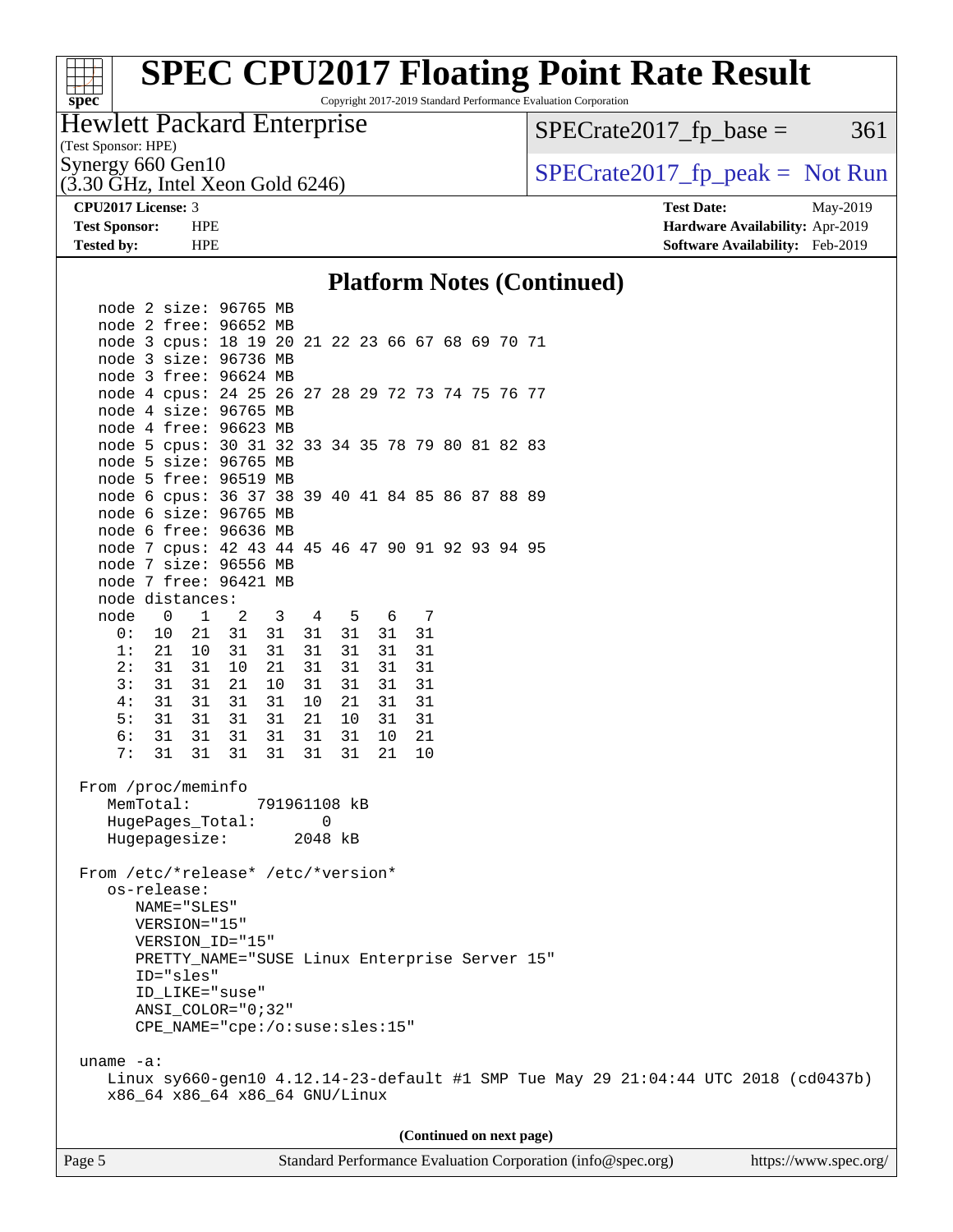# **[spec](http://www.spec.org/)**<sup>®</sup>

# **[SPEC CPU2017 Floating Point Rate Result](http://www.spec.org/auto/cpu2017/Docs/result-fields.html#SPECCPU2017FloatingPointRateResult)**

Copyright 2017-2019 Standard Performance Evaluation Corporation

### Hewlett Packard Enterprise

 $SPECTate2017<sub>fr</sub> base = 361$ 

### (Test Sponsor: HPE)

(3.30 GHz, Intel Xeon Gold 6246)

## Synergy 660 Gen10<br>  $SPECrate2017$  fp\_peak = Not Run

**[CPU2017 License:](http://www.spec.org/auto/cpu2017/Docs/result-fields.html#CPU2017License)** 3 **[Test Date:](http://www.spec.org/auto/cpu2017/Docs/result-fields.html#TestDate)** May-2019 **[Test Sponsor:](http://www.spec.org/auto/cpu2017/Docs/result-fields.html#TestSponsor)** HPE **[Hardware Availability:](http://www.spec.org/auto/cpu2017/Docs/result-fields.html#HardwareAvailability)** Apr-2019 **[Tested by:](http://www.spec.org/auto/cpu2017/Docs/result-fields.html#Testedby)** HPE **[Software Availability:](http://www.spec.org/auto/cpu2017/Docs/result-fields.html#SoftwareAvailability)** Feb-2019

#### **[Platform Notes \(Continued\)](http://www.spec.org/auto/cpu2017/Docs/result-fields.html#PlatformNotes)**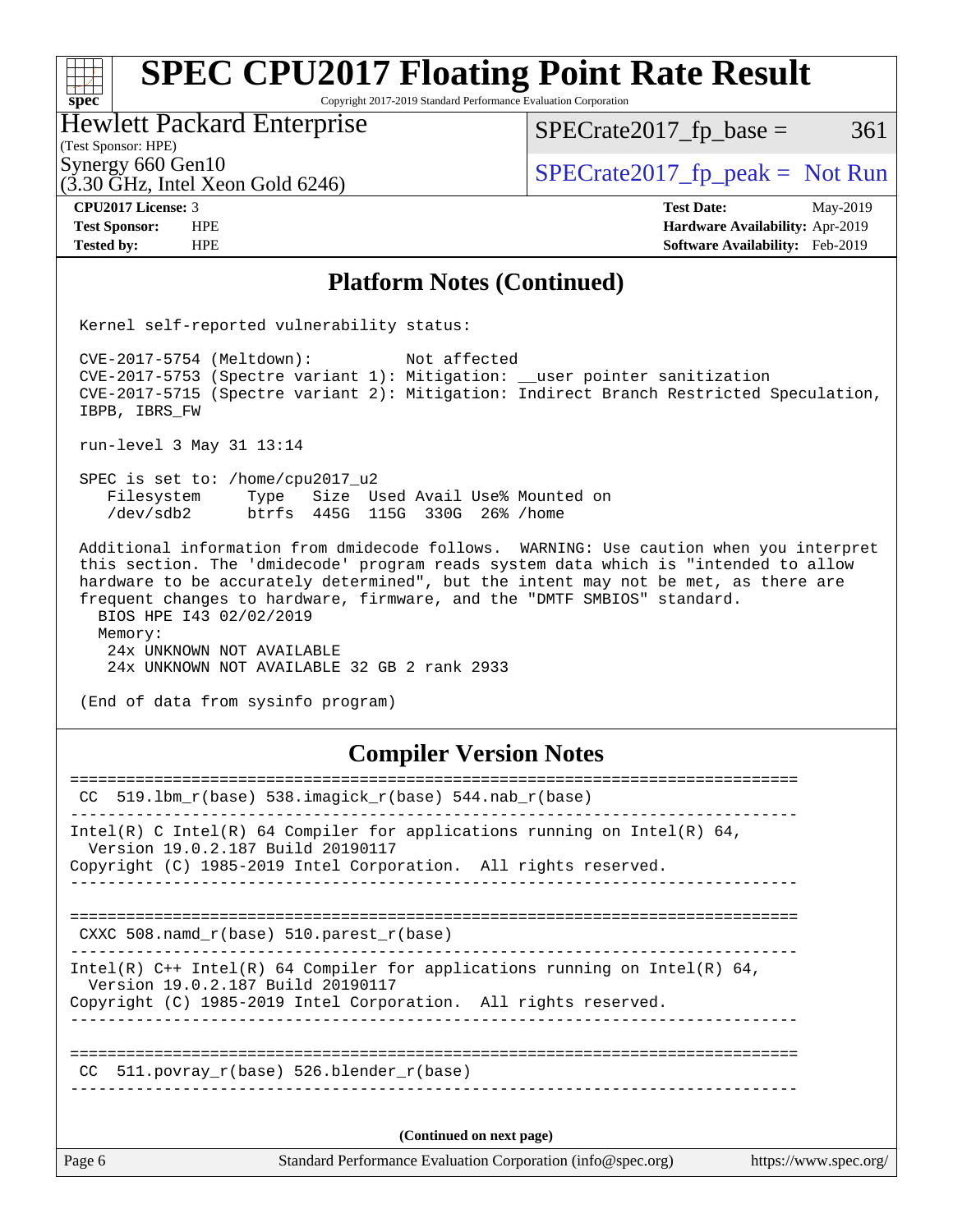#### **[SPEC CPU2017 Floating Point Rate Result](http://www.spec.org/auto/cpu2017/Docs/result-fields.html#SPECCPU2017FloatingPointRateResult)** a tim **[spec](http://www.spec.org/)** Copyright 2017-2019 Standard Performance Evaluation Corporation Hewlett Packard Enterprise  $SPECTate2017<sub>fr</sub> base = 361$

(3.30 GHz, Intel Xeon Gold 6246)

(Test Sponsor: HPE)

Synergy 660 Gen10<br>  $SPECrate2017_fp\_peak = Not Run$ 

**[CPU2017 License:](http://www.spec.org/auto/cpu2017/Docs/result-fields.html#CPU2017License)** 3 **[Test Date:](http://www.spec.org/auto/cpu2017/Docs/result-fields.html#TestDate)** May-2019 **[Test Sponsor:](http://www.spec.org/auto/cpu2017/Docs/result-fields.html#TestSponsor)** HPE **[Hardware Availability:](http://www.spec.org/auto/cpu2017/Docs/result-fields.html#HardwareAvailability)** Apr-2019 **[Tested by:](http://www.spec.org/auto/cpu2017/Docs/result-fields.html#Testedby)** HPE **[Software Availability:](http://www.spec.org/auto/cpu2017/Docs/result-fields.html#SoftwareAvailability)** Feb-2019

#### **[Platform Notes \(Continued\)](http://www.spec.org/auto/cpu2017/Docs/result-fields.html#PlatformNotes)**

Kernel self-reported vulnerability status:

 CVE-2017-5754 (Meltdown): Not affected CVE-2017-5753 (Spectre variant 1): Mitigation: \_\_user pointer sanitization CVE-2017-5715 (Spectre variant 2): Mitigation: Indirect Branch Restricted Speculation, IBPB, IBRS\_FW

run-level 3 May 31 13:14

 SPEC is set to: /home/cpu2017\_u2 Filesystem Type Size Used Avail Use% Mounted on /dev/sdb2 btrfs 445G 115G 330G 26% /home

 Additional information from dmidecode follows. WARNING: Use caution when you interpret this section. The 'dmidecode' program reads system data which is "intended to allow hardware to be accurately determined", but the intent may not be met, as there are frequent changes to hardware, firmware, and the "DMTF SMBIOS" standard. BIOS HPE I43 02/02/2019 Memory: 24x UNKNOWN NOT AVAILABLE

24x UNKNOWN NOT AVAILABLE 32 GB 2 rank 2933

(End of data from sysinfo program)

#### **[Compiler Version Notes](http://www.spec.org/auto/cpu2017/Docs/result-fields.html#CompilerVersionNotes)**

| Page 6 | Standard Performance Evaluation Corporation (info@spec.org)                                                                                                                                                           | https://www.spec.org/ |
|--------|-----------------------------------------------------------------------------------------------------------------------------------------------------------------------------------------------------------------------|-----------------------|
|        | (Continued on next page)                                                                                                                                                                                              |                       |
|        | CC $511.$ povray r(base) 526.blender r(base)                                                                                                                                                                          |                       |
|        | Intel(R) $C++$ Intel(R) 64 Compiler for applications running on Intel(R) 64,<br>Version 19.0.2.187 Build 20190117<br>Copyright (C) 1985-2019 Intel Corporation. All rights reserved.                                  |                       |
|        | CXXC 508. namd $r(base)$ 510. parest $r(base)$                                                                                                                                                                        |                       |
|        | Intel(R) C Intel(R) 64 Compiler for applications running on Intel(R) 64,<br>Version 19.0.2.187 Build 20190117<br>Copyright (C) 1985-2019 Intel Corporation. All rights reserved.<br>--------------------------------- |                       |
|        | CC 519.1bm $r(base)$ 538.imagick $r(base)$ 544.nab $r(base)$                                                                                                                                                          |                       |
|        |                                                                                                                                                                                                                       |                       |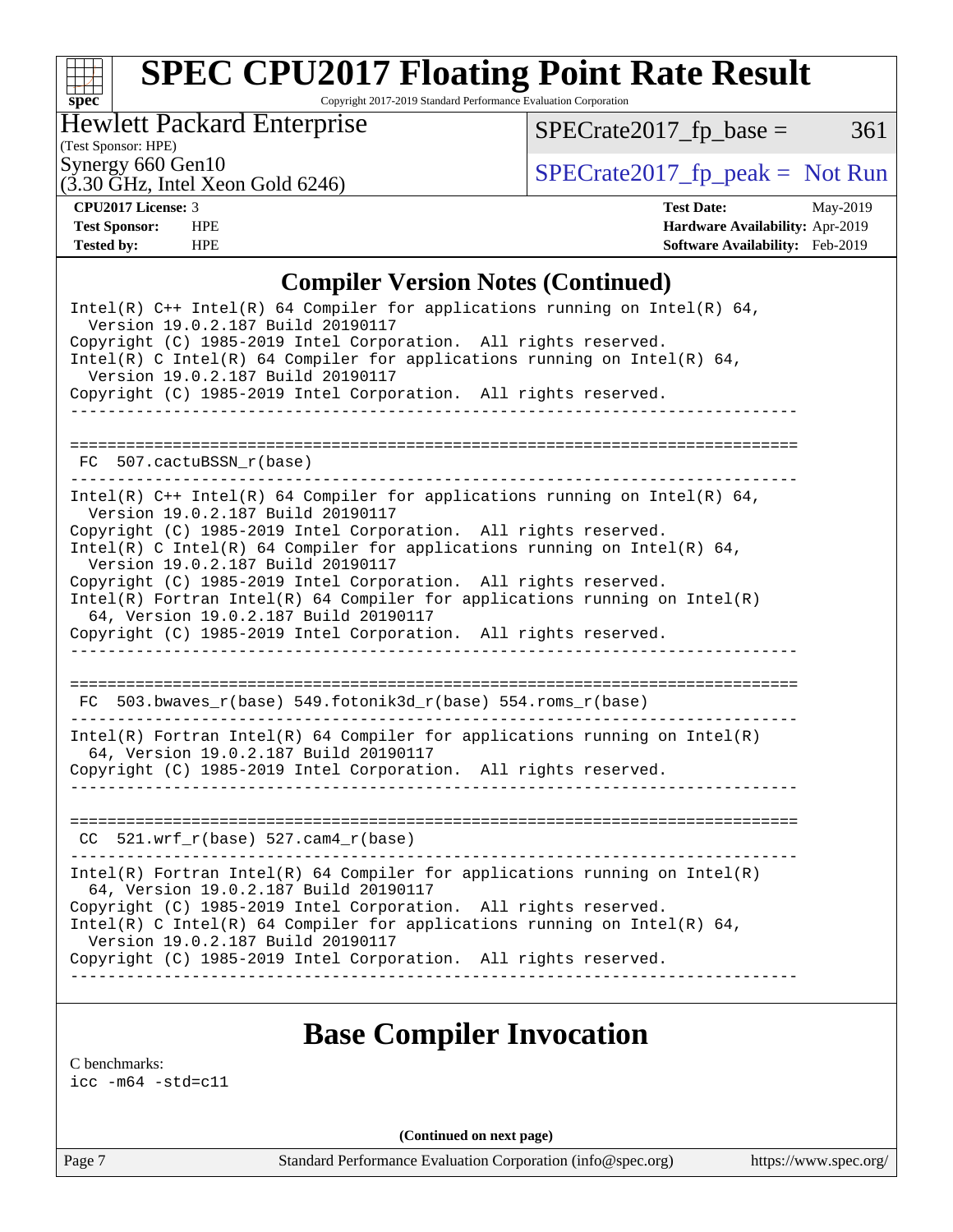# **[spec](http://www.spec.org/)**

# **[SPEC CPU2017 Floating Point Rate Result](http://www.spec.org/auto/cpu2017/Docs/result-fields.html#SPECCPU2017FloatingPointRateResult)**

Copyright 2017-2019 Standard Performance Evaluation Corporation

#### Hewlett Packard Enterprise

 $(3.30 \text{ GHz}, \text{Intel Xeon Gold } 6246)$ 

 $SPECrate2017_fp\_base = 361$ 

(Test Sponsor: HPE)

Synergy 660 Gen10<br>  $SPECrate2017_fp\_peak = Not Run$ 

**[CPU2017 License:](http://www.spec.org/auto/cpu2017/Docs/result-fields.html#CPU2017License)** 3 **[Test Date:](http://www.spec.org/auto/cpu2017/Docs/result-fields.html#TestDate)** May-2019 **[Test Sponsor:](http://www.spec.org/auto/cpu2017/Docs/result-fields.html#TestSponsor)** HPE **[Hardware Availability:](http://www.spec.org/auto/cpu2017/Docs/result-fields.html#HardwareAvailability)** Apr-2019 **[Tested by:](http://www.spec.org/auto/cpu2017/Docs/result-fields.html#Testedby)** HPE **[Software Availability:](http://www.spec.org/auto/cpu2017/Docs/result-fields.html#SoftwareAvailability)** Feb-2019

#### **[Compiler Version Notes \(Continued\)](http://www.spec.org/auto/cpu2017/Docs/result-fields.html#CompilerVersionNotes)**

| Intel(R) $C++$ Intel(R) 64 Compiler for applications running on Intel(R) 64,<br>Version 19.0.2.187 Build 20190117<br>Copyright (C) 1985-2019 Intel Corporation. All rights reserved.<br>Intel(R) C Intel(R) 64 Compiler for applications running on Intel(R) 64,<br>Version 19.0.2.187 Build 20190117 |
|-------------------------------------------------------------------------------------------------------------------------------------------------------------------------------------------------------------------------------------------------------------------------------------------------------|
| Copyright (C) 1985-2019 Intel Corporation. All rights reserved.                                                                                                                                                                                                                                       |
|                                                                                                                                                                                                                                                                                                       |
| FC 507.cactuBSSN r(base)                                                                                                                                                                                                                                                                              |
| Intel(R) $C++$ Intel(R) 64 Compiler for applications running on Intel(R) 64,<br>Version 19.0.2.187 Build 20190117                                                                                                                                                                                     |
| Copyright (C) 1985-2019 Intel Corporation. All rights reserved.<br>Intel(R) C Intel(R) 64 Compiler for applications running on Intel(R) 64,<br>Version 19.0.2.187 Build 20190117                                                                                                                      |
| Copyright (C) 1985-2019 Intel Corporation. All rights reserved.<br>$Intel(R)$ Fortran Intel(R) 64 Compiler for applications running on Intel(R)<br>64, Version 19.0.2.187 Build 20190117                                                                                                              |
| Copyright (C) 1985-2019 Intel Corporation. All rights reserved.                                                                                                                                                                                                                                       |
|                                                                                                                                                                                                                                                                                                       |
| FC 503.bwaves_r(base) 549.fotonik3d_r(base) 554.roms_r(base)                                                                                                                                                                                                                                          |
| $Intel(R)$ Fortran Intel(R) 64 Compiler for applications running on Intel(R)<br>64, Version 19.0.2.187 Build 20190117                                                                                                                                                                                 |
| Copyright (C) 1985-2019 Intel Corporation. All rights reserved.                                                                                                                                                                                                                                       |
|                                                                                                                                                                                                                                                                                                       |
| $CC$ 521.wrf_r(base) 527.cam4_r(base)                                                                                                                                                                                                                                                                 |
| $Intel(R)$ Fortran Intel(R) 64 Compiler for applications running on Intel(R)<br>64, Version 19.0.2.187 Build 20190117                                                                                                                                                                                 |
| Copyright (C) 1985-2019 Intel Corporation. All rights reserved.<br>Intel(R) C Intel(R) 64 Compiler for applications running on Intel(R) 64,<br>Version 19.0.2.187 Build 20190117                                                                                                                      |
| Copyright (C) 1985-2019 Intel Corporation. All rights reserved.                                                                                                                                                                                                                                       |
|                                                                                                                                                                                                                                                                                                       |

## **[Base Compiler Invocation](http://www.spec.org/auto/cpu2017/Docs/result-fields.html#BaseCompilerInvocation)**

[C benchmarks](http://www.spec.org/auto/cpu2017/Docs/result-fields.html#Cbenchmarks):

[icc -m64 -std=c11](http://www.spec.org/cpu2017/results/res2019q3/cpu2017-20190625-15805.flags.html#user_CCbase_intel_icc_64bit_c11_33ee0cdaae7deeeab2a9725423ba97205ce30f63b9926c2519791662299b76a0318f32ddfffdc46587804de3178b4f9328c46fa7c2b0cd779d7a61945c91cd35)

**(Continued on next page)**

Page 7 Standard Performance Evaluation Corporation [\(info@spec.org\)](mailto:info@spec.org) <https://www.spec.org/>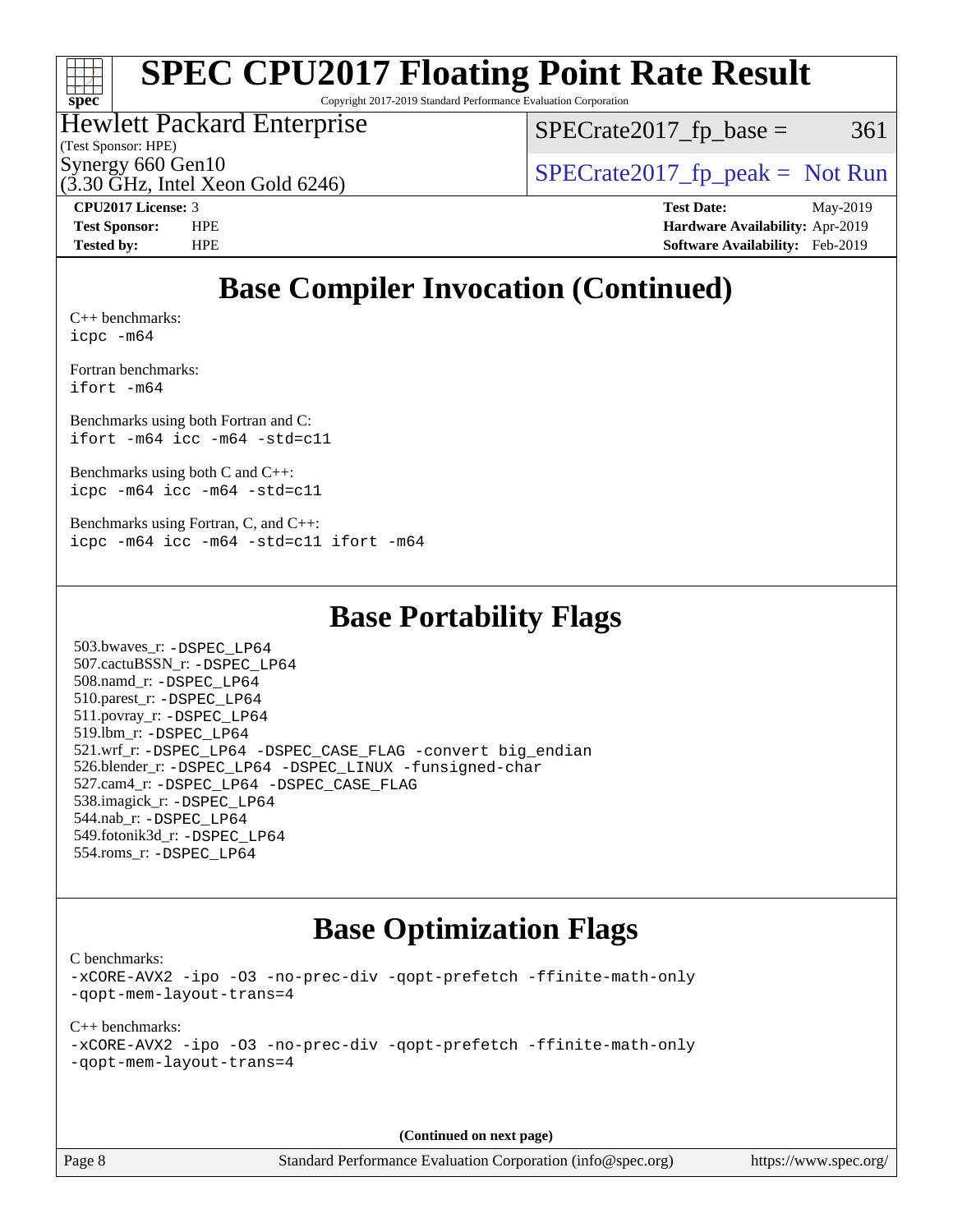

# **[SPEC CPU2017 Floating Point Rate Result](http://www.spec.org/auto/cpu2017/Docs/result-fields.html#SPECCPU2017FloatingPointRateResult)**

Copyright 2017-2019 Standard Performance Evaluation Corporation

### Hewlett Packard Enterprise

 $(3.30 \text{ GHz}, \text{Intel Xeon}$  Gold 6246)

 $SPECTate2017<sub>fr</sub> base = 361$ 

(Test Sponsor: HPE)

Synergy 660 Gen10<br>  $SPECrate2017$  fp\_peak = Not Run

**[CPU2017 License:](http://www.spec.org/auto/cpu2017/Docs/result-fields.html#CPU2017License)** 3 **[Test Date:](http://www.spec.org/auto/cpu2017/Docs/result-fields.html#TestDate)** May-2019 **[Test Sponsor:](http://www.spec.org/auto/cpu2017/Docs/result-fields.html#TestSponsor)** HPE **[Hardware Availability:](http://www.spec.org/auto/cpu2017/Docs/result-fields.html#HardwareAvailability)** Apr-2019 **[Tested by:](http://www.spec.org/auto/cpu2017/Docs/result-fields.html#Testedby)** HPE **[Software Availability:](http://www.spec.org/auto/cpu2017/Docs/result-fields.html#SoftwareAvailability)** Feb-2019

## **[Base Compiler Invocation \(Continued\)](http://www.spec.org/auto/cpu2017/Docs/result-fields.html#BaseCompilerInvocation)**

[C++ benchmarks:](http://www.spec.org/auto/cpu2017/Docs/result-fields.html#CXXbenchmarks) [icpc -m64](http://www.spec.org/cpu2017/results/res2019q3/cpu2017-20190625-15805.flags.html#user_CXXbase_intel_icpc_64bit_4ecb2543ae3f1412ef961e0650ca070fec7b7afdcd6ed48761b84423119d1bf6bdf5cad15b44d48e7256388bc77273b966e5eb805aefd121eb22e9299b2ec9d9)

[Fortran benchmarks](http://www.spec.org/auto/cpu2017/Docs/result-fields.html#Fortranbenchmarks): [ifort -m64](http://www.spec.org/cpu2017/results/res2019q3/cpu2017-20190625-15805.flags.html#user_FCbase_intel_ifort_64bit_24f2bb282fbaeffd6157abe4f878425411749daecae9a33200eee2bee2fe76f3b89351d69a8130dd5949958ce389cf37ff59a95e7a40d588e8d3a57e0c3fd751)

[Benchmarks using both Fortran and C](http://www.spec.org/auto/cpu2017/Docs/result-fields.html#BenchmarksusingbothFortranandC): [ifort -m64](http://www.spec.org/cpu2017/results/res2019q3/cpu2017-20190625-15805.flags.html#user_CC_FCbase_intel_ifort_64bit_24f2bb282fbaeffd6157abe4f878425411749daecae9a33200eee2bee2fe76f3b89351d69a8130dd5949958ce389cf37ff59a95e7a40d588e8d3a57e0c3fd751) [icc -m64 -std=c11](http://www.spec.org/cpu2017/results/res2019q3/cpu2017-20190625-15805.flags.html#user_CC_FCbase_intel_icc_64bit_c11_33ee0cdaae7deeeab2a9725423ba97205ce30f63b9926c2519791662299b76a0318f32ddfffdc46587804de3178b4f9328c46fa7c2b0cd779d7a61945c91cd35)

[Benchmarks using both C and C++](http://www.spec.org/auto/cpu2017/Docs/result-fields.html#BenchmarksusingbothCandCXX): [icpc -m64](http://www.spec.org/cpu2017/results/res2019q3/cpu2017-20190625-15805.flags.html#user_CC_CXXbase_intel_icpc_64bit_4ecb2543ae3f1412ef961e0650ca070fec7b7afdcd6ed48761b84423119d1bf6bdf5cad15b44d48e7256388bc77273b966e5eb805aefd121eb22e9299b2ec9d9) [icc -m64 -std=c11](http://www.spec.org/cpu2017/results/res2019q3/cpu2017-20190625-15805.flags.html#user_CC_CXXbase_intel_icc_64bit_c11_33ee0cdaae7deeeab2a9725423ba97205ce30f63b9926c2519791662299b76a0318f32ddfffdc46587804de3178b4f9328c46fa7c2b0cd779d7a61945c91cd35)

[Benchmarks using Fortran, C, and C++:](http://www.spec.org/auto/cpu2017/Docs/result-fields.html#BenchmarksusingFortranCandCXX) [icpc -m64](http://www.spec.org/cpu2017/results/res2019q3/cpu2017-20190625-15805.flags.html#user_CC_CXX_FCbase_intel_icpc_64bit_4ecb2543ae3f1412ef961e0650ca070fec7b7afdcd6ed48761b84423119d1bf6bdf5cad15b44d48e7256388bc77273b966e5eb805aefd121eb22e9299b2ec9d9) [icc -m64 -std=c11](http://www.spec.org/cpu2017/results/res2019q3/cpu2017-20190625-15805.flags.html#user_CC_CXX_FCbase_intel_icc_64bit_c11_33ee0cdaae7deeeab2a9725423ba97205ce30f63b9926c2519791662299b76a0318f32ddfffdc46587804de3178b4f9328c46fa7c2b0cd779d7a61945c91cd35) [ifort -m64](http://www.spec.org/cpu2017/results/res2019q3/cpu2017-20190625-15805.flags.html#user_CC_CXX_FCbase_intel_ifort_64bit_24f2bb282fbaeffd6157abe4f878425411749daecae9a33200eee2bee2fe76f3b89351d69a8130dd5949958ce389cf37ff59a95e7a40d588e8d3a57e0c3fd751)

### **[Base Portability Flags](http://www.spec.org/auto/cpu2017/Docs/result-fields.html#BasePortabilityFlags)**

 503.bwaves\_r: [-DSPEC\\_LP64](http://www.spec.org/cpu2017/results/res2019q3/cpu2017-20190625-15805.flags.html#suite_basePORTABILITY503_bwaves_r_DSPEC_LP64) 507.cactuBSSN\_r: [-DSPEC\\_LP64](http://www.spec.org/cpu2017/results/res2019q3/cpu2017-20190625-15805.flags.html#suite_basePORTABILITY507_cactuBSSN_r_DSPEC_LP64) 508.namd\_r: [-DSPEC\\_LP64](http://www.spec.org/cpu2017/results/res2019q3/cpu2017-20190625-15805.flags.html#suite_basePORTABILITY508_namd_r_DSPEC_LP64) 510.parest\_r: [-DSPEC\\_LP64](http://www.spec.org/cpu2017/results/res2019q3/cpu2017-20190625-15805.flags.html#suite_basePORTABILITY510_parest_r_DSPEC_LP64) 511.povray\_r: [-DSPEC\\_LP64](http://www.spec.org/cpu2017/results/res2019q3/cpu2017-20190625-15805.flags.html#suite_basePORTABILITY511_povray_r_DSPEC_LP64) 519.lbm\_r: [-DSPEC\\_LP64](http://www.spec.org/cpu2017/results/res2019q3/cpu2017-20190625-15805.flags.html#suite_basePORTABILITY519_lbm_r_DSPEC_LP64) 521.wrf\_r: [-DSPEC\\_LP64](http://www.spec.org/cpu2017/results/res2019q3/cpu2017-20190625-15805.flags.html#suite_basePORTABILITY521_wrf_r_DSPEC_LP64) [-DSPEC\\_CASE\\_FLAG](http://www.spec.org/cpu2017/results/res2019q3/cpu2017-20190625-15805.flags.html#b521.wrf_r_baseCPORTABILITY_DSPEC_CASE_FLAG) [-convert big\\_endian](http://www.spec.org/cpu2017/results/res2019q3/cpu2017-20190625-15805.flags.html#user_baseFPORTABILITY521_wrf_r_convert_big_endian_c3194028bc08c63ac5d04de18c48ce6d347e4e562e8892b8bdbdc0214820426deb8554edfa529a3fb25a586e65a3d812c835984020483e7e73212c4d31a38223) 526.blender\_r: [-DSPEC\\_LP64](http://www.spec.org/cpu2017/results/res2019q3/cpu2017-20190625-15805.flags.html#suite_basePORTABILITY526_blender_r_DSPEC_LP64) [-DSPEC\\_LINUX](http://www.spec.org/cpu2017/results/res2019q3/cpu2017-20190625-15805.flags.html#b526.blender_r_baseCPORTABILITY_DSPEC_LINUX) [-funsigned-char](http://www.spec.org/cpu2017/results/res2019q3/cpu2017-20190625-15805.flags.html#user_baseCPORTABILITY526_blender_r_force_uchar_40c60f00ab013830e2dd6774aeded3ff59883ba5a1fc5fc14077f794d777847726e2a5858cbc7672e36e1b067e7e5c1d9a74f7176df07886a243d7cc18edfe67) 527.cam4\_r: [-DSPEC\\_LP64](http://www.spec.org/cpu2017/results/res2019q3/cpu2017-20190625-15805.flags.html#suite_basePORTABILITY527_cam4_r_DSPEC_LP64) [-DSPEC\\_CASE\\_FLAG](http://www.spec.org/cpu2017/results/res2019q3/cpu2017-20190625-15805.flags.html#b527.cam4_r_baseCPORTABILITY_DSPEC_CASE_FLAG) 538.imagick\_r: [-DSPEC\\_LP64](http://www.spec.org/cpu2017/results/res2019q3/cpu2017-20190625-15805.flags.html#suite_basePORTABILITY538_imagick_r_DSPEC_LP64) 544.nab\_r: [-DSPEC\\_LP64](http://www.spec.org/cpu2017/results/res2019q3/cpu2017-20190625-15805.flags.html#suite_basePORTABILITY544_nab_r_DSPEC_LP64) 549.fotonik3d\_r: [-DSPEC\\_LP64](http://www.spec.org/cpu2017/results/res2019q3/cpu2017-20190625-15805.flags.html#suite_basePORTABILITY549_fotonik3d_r_DSPEC_LP64) 554.roms\_r: [-DSPEC\\_LP64](http://www.spec.org/cpu2017/results/res2019q3/cpu2017-20190625-15805.flags.html#suite_basePORTABILITY554_roms_r_DSPEC_LP64)

### **[Base Optimization Flags](http://www.spec.org/auto/cpu2017/Docs/result-fields.html#BaseOptimizationFlags)**

[C benchmarks](http://www.spec.org/auto/cpu2017/Docs/result-fields.html#Cbenchmarks):

[-xCORE-AVX2](http://www.spec.org/cpu2017/results/res2019q3/cpu2017-20190625-15805.flags.html#user_CCbase_f-xCORE-AVX2) [-ipo](http://www.spec.org/cpu2017/results/res2019q3/cpu2017-20190625-15805.flags.html#user_CCbase_f-ipo) [-O3](http://www.spec.org/cpu2017/results/res2019q3/cpu2017-20190625-15805.flags.html#user_CCbase_f-O3) [-no-prec-div](http://www.spec.org/cpu2017/results/res2019q3/cpu2017-20190625-15805.flags.html#user_CCbase_f-no-prec-div) [-qopt-prefetch](http://www.spec.org/cpu2017/results/res2019q3/cpu2017-20190625-15805.flags.html#user_CCbase_f-qopt-prefetch) [-ffinite-math-only](http://www.spec.org/cpu2017/results/res2019q3/cpu2017-20190625-15805.flags.html#user_CCbase_f_finite_math_only_cb91587bd2077682c4b38af759c288ed7c732db004271a9512da14a4f8007909a5f1427ecbf1a0fb78ff2a814402c6114ac565ca162485bbcae155b5e4258871) [-qopt-mem-layout-trans=4](http://www.spec.org/cpu2017/results/res2019q3/cpu2017-20190625-15805.flags.html#user_CCbase_f-qopt-mem-layout-trans_fa39e755916c150a61361b7846f310bcdf6f04e385ef281cadf3647acec3f0ae266d1a1d22d972a7087a248fd4e6ca390a3634700869573d231a252c784941a8)

[C++ benchmarks:](http://www.spec.org/auto/cpu2017/Docs/result-fields.html#CXXbenchmarks) [-xCORE-AVX2](http://www.spec.org/cpu2017/results/res2019q3/cpu2017-20190625-15805.flags.html#user_CXXbase_f-xCORE-AVX2) [-ipo](http://www.spec.org/cpu2017/results/res2019q3/cpu2017-20190625-15805.flags.html#user_CXXbase_f-ipo) [-O3](http://www.spec.org/cpu2017/results/res2019q3/cpu2017-20190625-15805.flags.html#user_CXXbase_f-O3) [-no-prec-div](http://www.spec.org/cpu2017/results/res2019q3/cpu2017-20190625-15805.flags.html#user_CXXbase_f-no-prec-div) [-qopt-prefetch](http://www.spec.org/cpu2017/results/res2019q3/cpu2017-20190625-15805.flags.html#user_CXXbase_f-qopt-prefetch) [-ffinite-math-only](http://www.spec.org/cpu2017/results/res2019q3/cpu2017-20190625-15805.flags.html#user_CXXbase_f_finite_math_only_cb91587bd2077682c4b38af759c288ed7c732db004271a9512da14a4f8007909a5f1427ecbf1a0fb78ff2a814402c6114ac565ca162485bbcae155b5e4258871) [-qopt-mem-layout-trans=4](http://www.spec.org/cpu2017/results/res2019q3/cpu2017-20190625-15805.flags.html#user_CXXbase_f-qopt-mem-layout-trans_fa39e755916c150a61361b7846f310bcdf6f04e385ef281cadf3647acec3f0ae266d1a1d22d972a7087a248fd4e6ca390a3634700869573d231a252c784941a8)

**(Continued on next page)**

Page 8 Standard Performance Evaluation Corporation [\(info@spec.org\)](mailto:info@spec.org) <https://www.spec.org/>